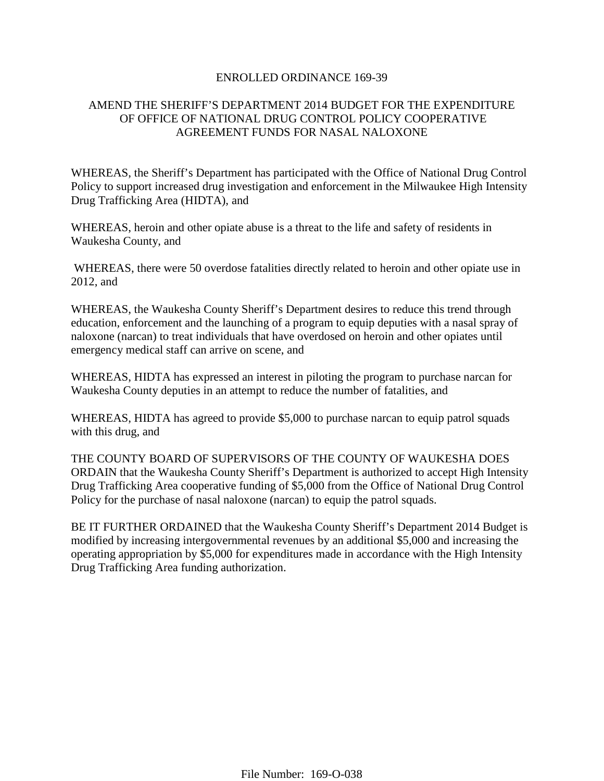#### ENROLLED ORDINANCE 169-39

### AMEND THE SHERIFF'S DEPARTMENT 2014 BUDGET FOR THE EXPENDITURE OF OFFICE OF NATIONAL DRUG CONTROL POLICY COOPERATIVE AGREEMENT FUNDS FOR NASAL NALOXONE

WHEREAS, the Sheriff's Department has participated with the Office of National Drug Control Policy to support increased drug investigation and enforcement in the Milwaukee High Intensity Drug Trafficking Area (HIDTA), and

WHEREAS, heroin and other opiate abuse is a threat to the life and safety of residents in Waukesha County, and

WHEREAS, there were 50 overdose fatalities directly related to heroin and other opiate use in 2012, and

WHEREAS, the Waukesha County Sheriff's Department desires to reduce this trend through education, enforcement and the launching of a program to equip deputies with a nasal spray of naloxone (narcan) to treat individuals that have overdosed on heroin and other opiates until emergency medical staff can arrive on scene, and

WHEREAS, HIDTA has expressed an interest in piloting the program to purchase narcan for Waukesha County deputies in an attempt to reduce the number of fatalities, and

WHEREAS, HIDTA has agreed to provide \$5,000 to purchase narcan to equip patrol squads with this drug, and

THE COUNTY BOARD OF SUPERVISORS OF THE COUNTY OF WAUKESHA DOES ORDAIN that the Waukesha County Sheriff's Department is authorized to accept High Intensity Drug Trafficking Area cooperative funding of \$5,000 from the Office of National Drug Control Policy for the purchase of nasal naloxone (narcan) to equip the patrol squads.

BE IT FURTHER ORDAINED that the Waukesha County Sheriff's Department 2014 Budget is modified by increasing intergovernmental revenues by an additional \$5,000 and increasing the operating appropriation by \$5,000 for expenditures made in accordance with the High Intensity Drug Trafficking Area funding authorization.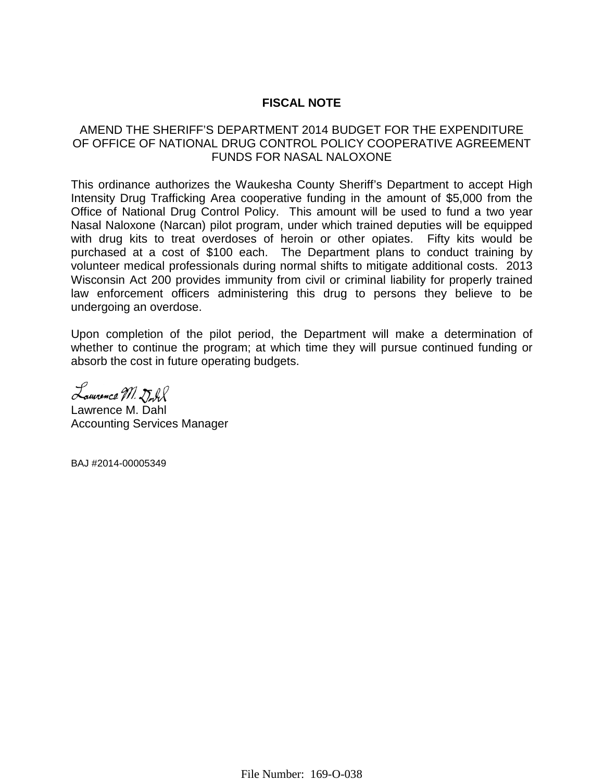## **FISCAL NOTE**

### AMEND THE SHERIFF'S DEPARTMENT 2014 BUDGET FOR THE EXPENDITURE OF OFFICE OF NATIONAL DRUG CONTROL POLICY COOPERATIVE AGREEMENT FUNDS FOR NASAL NALOXONE

This ordinance authorizes the Waukesha County Sheriff's Department to accept High Intensity Drug Trafficking Area cooperative funding in the amount of \$5,000 from the Office of National Drug Control Policy. This amount will be used to fund a two year Nasal Naloxone (Narcan) pilot program, under which trained deputies will be equipped with drug kits to treat overdoses of heroin or other opiates. Fifty kits would be purchased at a cost of \$100 each. The Department plans to conduct training by volunteer medical professionals during normal shifts to mitigate additional costs. 2013 Wisconsin Act 200 provides immunity from civil or criminal liability for properly trained law enforcement officers administering this drug to persons they believe to be undergoing an overdose.

Upon completion of the pilot period, the Department will make a determination of whether to continue the program; at which time they will pursue continued funding or absorb the cost in future operating budgets.

Lauvence M. Dull

Lawrence M. Dahl Accounting Services Manager

BAJ #2014-00005349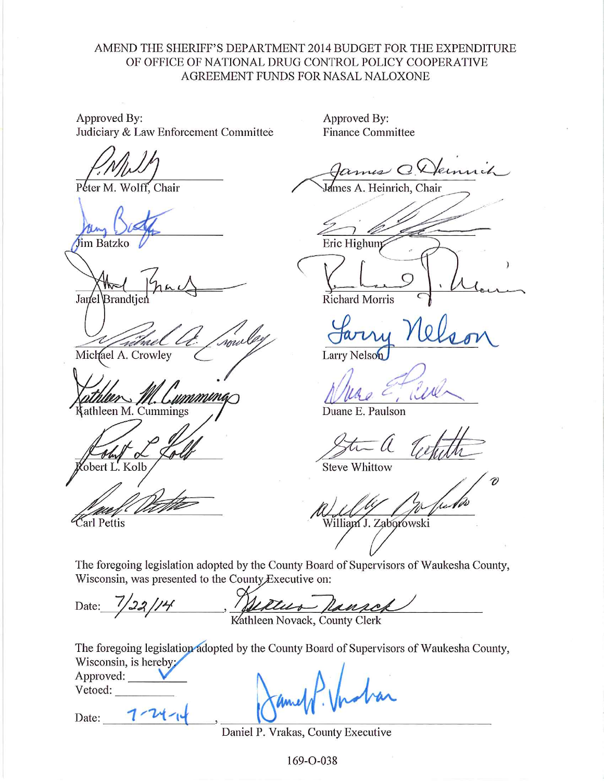### AMEND THE SHERIFF'S DEPARTMENT 2014 BUDGET FOR THE EXPENDITURE OF OFFICE OF NATIONAL DRUG CONTROL POLICY COOPERATIVE AGREEMENT FUNDS FOR NASAL NALOXONE

Approved By: Judiciary & Law Enforcement Committee

Péter M. Wolff. Chair

im Batzko

Janel Brandti

soul Michael A. Crowley

mmina athleen M. Cummings

obert L. Kolb

Carl Pettis

Approved By: **Finance Committee** 

mes QV

Ames A. Heinrich, Chair

Eric Highum

**Richard Morris** 

Larry Nelson

 $\iota\mathcal{U}$ 

Duane E. Paulson

**Steve Whittow** 

William J. Zaborowski

The foregoing legislation adopted by the County Board of Supervisors of Waukesha County, Wisconsin, was presented to the County Executive on:

<u>Willis Ransch</u> Date:

The foregoing legislation adopted by the County Board of Supervisors of Waukesha County, Wisconsin, is hereby:

Approved: Vetoed:

Date:

Daniel P. Vrakas, County Executive

169-O-038